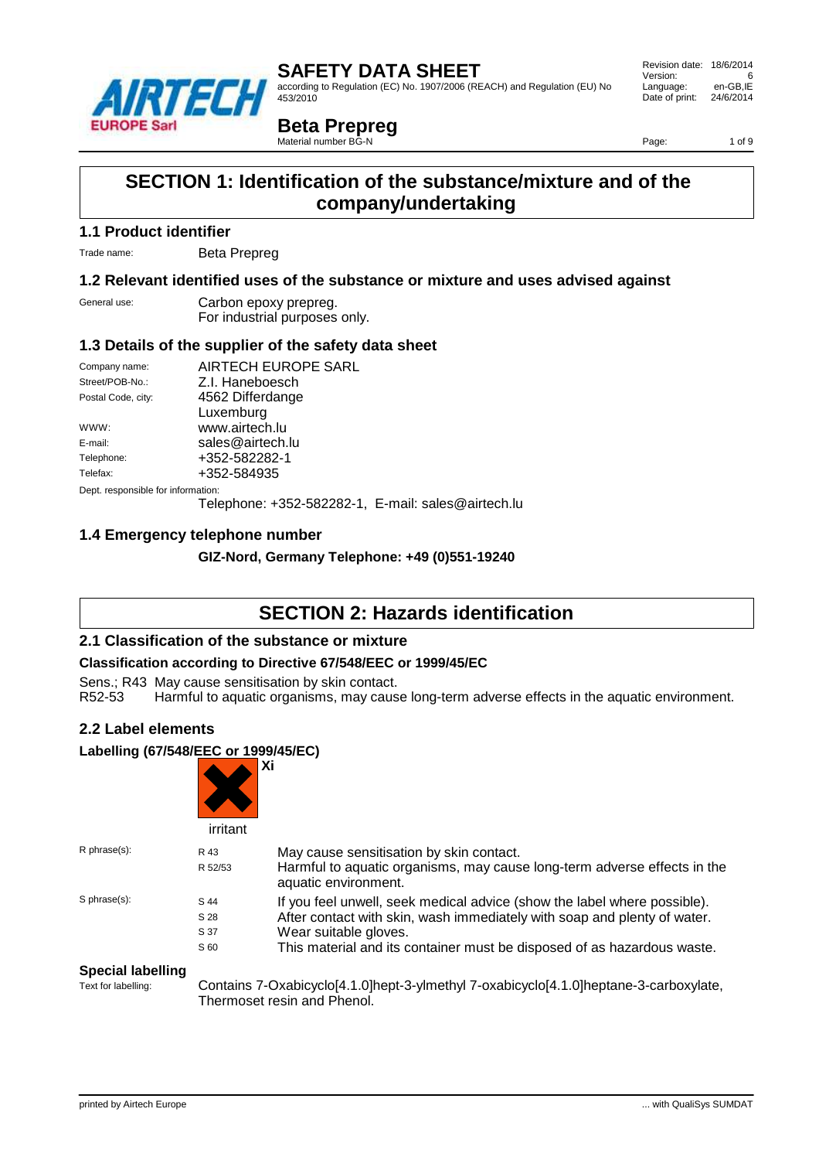

according to Regulation (EC) No. 1907/2006 (REACH) and Regulation (EU) No 453/2010

 Revision date: 18/6/2014 Version: 6<br>Language: en-GB.IE Language: Date of print: 24/6/2014

**Beta Prepreg**

Material number BG-N

Page: 1 of 9

# **SECTION 1: Identification of the substance/mixture and of the company/undertaking**

### **1.1 Product identifier**

Trade name: Beta Prepreg

### **1.2 Relevant identified uses of the substance or mixture and uses advised against**

| General use: | Carbon epoxy prepreg.         |
|--------------|-------------------------------|
|              | For industrial purposes only. |

### **1.3 Details of the supplier of the safety data sheet**

| Company name:                      | AIRTECH EUROPE SARL                                |
|------------------------------------|----------------------------------------------------|
| Street/POB-No.:                    | Z.I. Haneboesch                                    |
| Postal Code, city:                 | 4562 Differdange                                   |
|                                    | Luxemburg                                          |
| WWW:                               | www.airtech.lu                                     |
| E-mail:                            | sales@airtech.lu                                   |
| Telephone:                         | +352-582282-1                                      |
| Telefax:                           | +352-584935                                        |
| Dept. responsible for information: |                                                    |
|                                    | Telephone: +352-582282-1, E-mail: sales@airtech.lu |
|                                    |                                                    |

## **1.4 Emergency telephone number**

**GIZ-Nord, Germany Telephone: +49 (0)551-19240**

# **SECTION 2: Hazards identification**

### **2.1 Classification of the substance or mixture**

#### **Classification according to Directive 67/548/EEC or 1999/45/EC**

Sens.; R43 May cause sensitisation by skin contact.

R52-53 Harmful to aquatic organisms, may cause long-term adverse effects in the aquatic environment.

### **2.2 Label elements**

#### **Labelling (67/548/EEC or 1999/45/EC)**

|              | irritant                     | Xi                                                                                                                                                                                                                                                       |
|--------------|------------------------------|----------------------------------------------------------------------------------------------------------------------------------------------------------------------------------------------------------------------------------------------------------|
| R phrase(s): | R 43<br>R 52/53              | May cause sensitisation by skin contact.<br>Harmful to aquatic organisms, may cause long-term adverse effects in the<br>aquatic environment.                                                                                                             |
| S phrase(s): | S 44<br>S 28<br>S 37<br>S 60 | If you feel unwell, seek medical advice (show the label where possible).<br>After contact with skin, wash immediately with soap and plenty of water.<br>Wear suitable gloves.<br>This material and its container must be disposed of as hazardous waste. |

# **Special labelling**<br>Text for labelling:

Contains 7-Oxabicyclo[4.1.0]hept-3-ylmethyl 7-oxabicyclo[4.1.0]heptane-3-carboxylate, Thermoset resin and Phenol.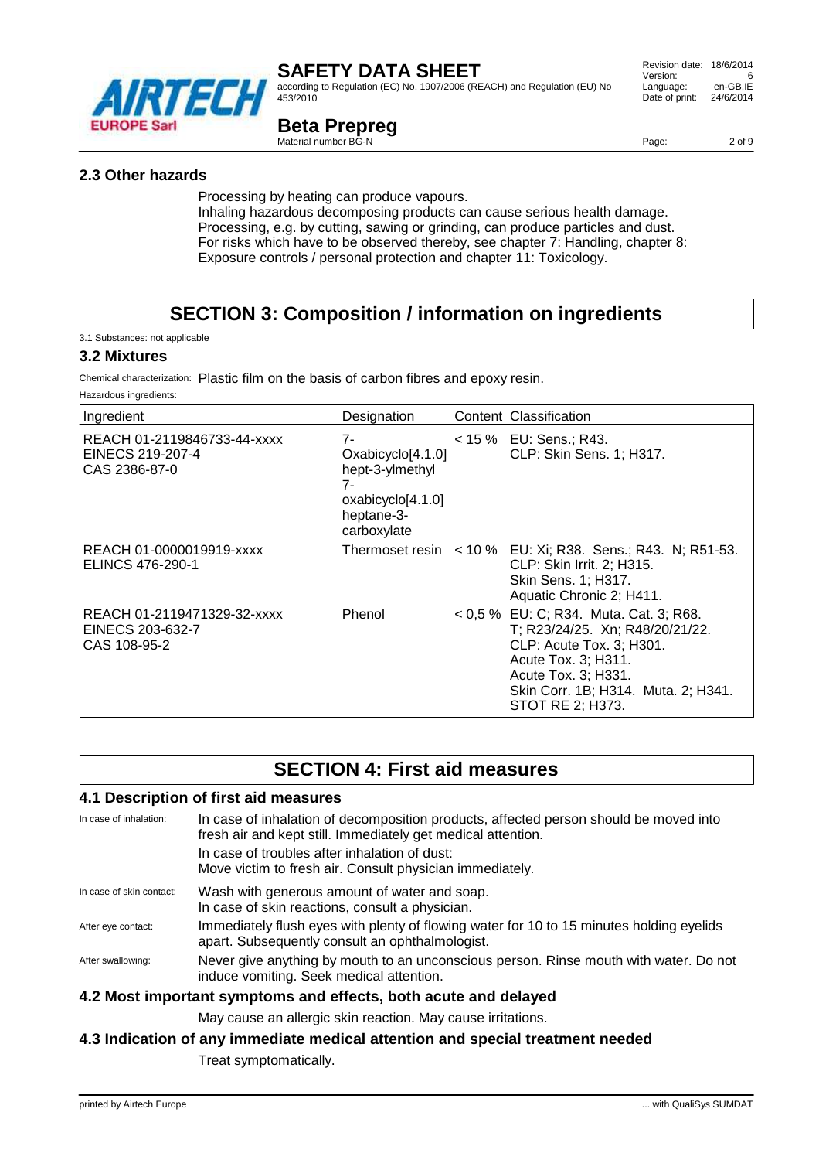

according to Regulation (EC) No. 1907/2006 (REACH) and Regulation (EU) No 453/2010

## **Beta Prepreg**

Material number BG-N

Page: 2 of 9

### **2.3 Other hazards**

Processing by heating can produce vapours.

Inhaling hazardous decomposing products can cause serious health damage. Processing, e.g. by cutting, sawing or grinding, can produce particles and dust. For risks which have to be observed thereby, see chapter 7: Handling, chapter 8: Exposure controls / personal protection and chapter 11: Toxicology.

# **SECTION 3: Composition / information on ingredients**

3.1 Substances: not applicable

#### **3.2 Mixtures**

Chemical characterization: Plastic film on the basis of carbon fibres and epoxy resin.

Hazardous ingredients:

| Ingredient                                                       | Designation                                                                                        | Content Classification                                                                                                                                                                                         |
|------------------------------------------------------------------|----------------------------------------------------------------------------------------------------|----------------------------------------------------------------------------------------------------------------------------------------------------------------------------------------------------------------|
| REACH 01-2119846733-44-xxxx<br>EINECS 219-207-4<br>CAS 2386-87-0 | 7-<br>Oxabicyclo[4.1.0]<br>hept-3-ylmethyl<br>7-<br>oxabicyclo[4.1.0]<br>heptane-3-<br>carboxylate | $<$ 15 % EU: Sens.; R43.<br>CLP: Skin Sens. 1; H317.                                                                                                                                                           |
| REACH 01-0000019919-xxxx<br>ELINCS 476-290-1                     |                                                                                                    | Thermoset resin < 10 % EU: Xi; R38. Sens.; R43. N; R51-53.<br>CLP: Skin Irrit. 2; H315.<br>Skin Sens. 1; H317.<br>Aquatic Chronic 2; H411.                                                                     |
| REACH 01-2119471329-32-xxxx<br>EINECS 203-632-7<br>CAS 108-95-2  | Phenol                                                                                             | < 0,5 % EU: C; R34. Muta. Cat. 3; R68.<br>T; R23/24/25. Xn; R48/20/21/22.<br>CLP: Acute Tox. 3; H301.<br>Acute Tox. 3; H311.<br>Acute Tox. 3; H331.<br>Skin Corr. 1B; H314. Muta. 2; H341.<br>STOT RE 2; H373. |

# **SECTION 4: First aid measures**

#### **4.1 Description of first aid measures**

| In case of inhalation:   | In case of inhalation of decomposition products, affected person should be moved into<br>fresh air and kept still. Immediately get medical attention. |
|--------------------------|-------------------------------------------------------------------------------------------------------------------------------------------------------|
|                          | In case of troubles after inhalation of dust:<br>Move victim to fresh air. Consult physician immediately.                                             |
| In case of skin contact: | Wash with generous amount of water and soap.<br>In case of skin reactions, consult a physician.                                                       |
| After eye contact:       | Immediately flush eyes with plenty of flowing water for 10 to 15 minutes holding eyelids<br>apart. Subsequently consult an ophthalmologist.           |
| After swallowing:        | Never give anything by mouth to an unconscious person. Rinse mouth with water. Do not<br>induce vomiting. Seek medical attention.                     |
|                          | 4.2 Most important symptoms and effects, both acute and delayed                                                                                       |

May cause an allergic skin reaction. May cause irritations.

#### **4.3 Indication of any immediate medical attention and special treatment needed**

Treat symptomatically.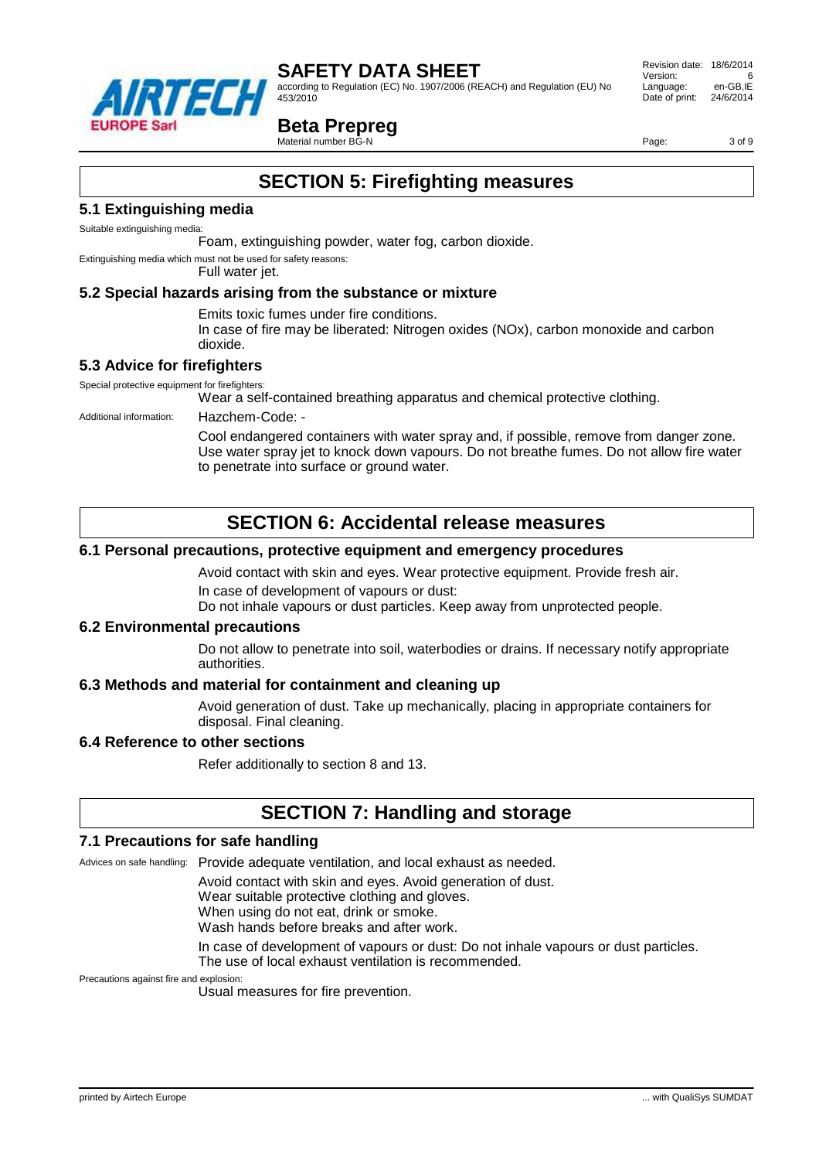

according to Regulation (EC) No. 1907/2006 (REACH) and Regulation (EU) No 453/2010

 Revision date: 18/6/2014 Version: Language: en-GB,IE<br>Date of print: 24/6/2014 Date of print:

## **Beta Prepreg**

Material number BG-N

Page: 3 of 9

# **SECTION 5: Firefighting measures**

#### **5.1 Extinguishing media**

Suitable extinguishing media:

Foam, extinguishing powder, water fog, carbon dioxide.

Extinguishing media which must not be used for safety reasons:

#### Full water jet.

#### **5.2 Special hazards arising from the substance or mixture**

Emits toxic fumes under fire conditions.

In case of fire may be liberated: Nitrogen oxides (NOx), carbon monoxide and carbon dioxide.

### **5.3 Advice for firefighters**

Special protective equipment for firefighters:

Wear a self-contained breathing apparatus and chemical protective clothing.

Additional information: Hazchem-Code: -

Cool endangered containers with water spray and, if possible, remove from danger zone. Use water spray jet to knock down vapours. Do not breathe fumes. Do not allow fire water to penetrate into surface or ground water.

# **SECTION 6: Accidental release measures**

#### **6.1 Personal precautions, protective equipment and emergency procedures**

Avoid contact with skin and eyes. Wear protective equipment. Provide fresh air. In case of development of vapours or dust:

Do not inhale vapours or dust particles. Keep away from unprotected people.

#### **6.2 Environmental precautions**

Do not allow to penetrate into soil, waterbodies or drains. If necessary notify appropriate authorities.

#### **6.3 Methods and material for containment and cleaning up**

Avoid generation of dust. Take up mechanically, placing in appropriate containers for disposal. Final cleaning.

#### **6.4 Reference to other sections**

Refer additionally to section 8 and 13.

## **SECTION 7: Handling and storage**

#### **7.1 Precautions for safe handling**

Advices on safe handling: Provide adequate ventilation, and local exhaust as needed.

Avoid contact with skin and eyes. Avoid generation of dust.

Wear suitable protective clothing and gloves.

When using do not eat, drink or smoke.

Wash hands before breaks and after work.

In case of development of vapours or dust: Do not inhale vapours or dust particles. The use of local exhaust ventilation is recommended.

Precautions against fire and explosion:

Usual measures for fire prevention.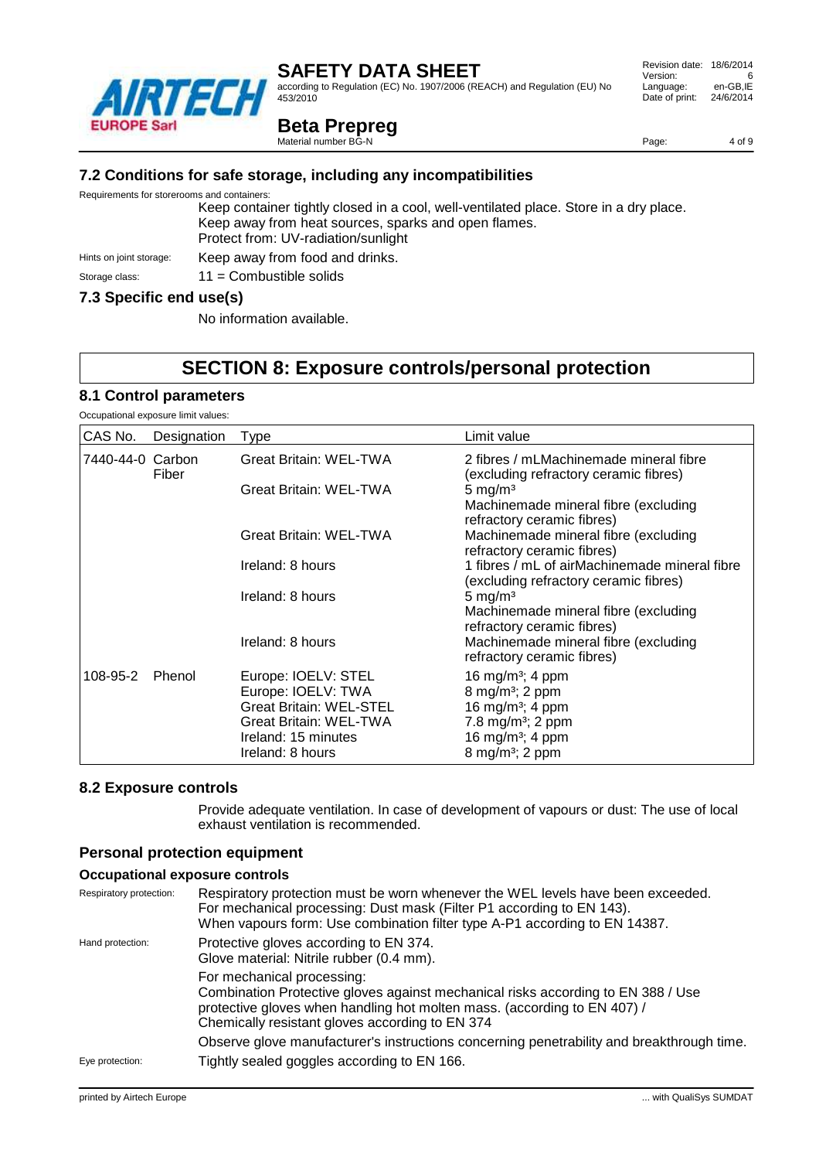according to Regulation (EC) No. 1907/2006 (REACH) and Regulation (EU) No 453/2010

## **Beta Prepreg**

Material number BG-N

**7.2 Conditions for safe storage, including any incompatibilities**

Requirements for storerooms and containers:

Keep container tightly closed in a cool, well-ventilated place. Store in a dry place. Keep away from heat sources, sparks and open flames. Protect from: UV-radiation/sunlight Hints on joint storage: Keep away from food and drinks.

# Storage class: 11 = Combustible solids

#### **7.3 Specific end use(s)**

No information available.

# **SECTION 8: Exposure controls/personal protection**

#### **8.1 Control parameters**

Occupational exposure limit values:

| CAS No.          | Designation | Type                                                                                                                                                    | Limit value                                                                                                                                                                                 |
|------------------|-------------|---------------------------------------------------------------------------------------------------------------------------------------------------------|---------------------------------------------------------------------------------------------------------------------------------------------------------------------------------------------|
| 7440-44-0 Carbon | Fiber       | <b>Great Britain: WEL-TWA</b>                                                                                                                           | 2 fibres / mLMachinemade mineral fibre<br>(excluding refractory ceramic fibres)                                                                                                             |
|                  |             | <b>Great Britain: WEL-TWA</b>                                                                                                                           | 5 mg/m <sup>3</sup><br>Machinemade mineral fibre (excluding<br>refractory ceramic fibres)                                                                                                   |
|                  |             | <b>Great Britain: WEL-TWA</b>                                                                                                                           | Machinemade mineral fibre (excluding<br>refractory ceramic fibres)                                                                                                                          |
|                  |             | Ireland: 8 hours                                                                                                                                        | 1 fibres / mL of airMachinemade mineral fibre<br>(excluding refractory ceramic fibres)                                                                                                      |
|                  |             | Ireland: 8 hours                                                                                                                                        | $5 \text{ mg/m}^3$<br>Machinemade mineral fibre (excluding<br>refractory ceramic fibres)                                                                                                    |
|                  |             | Ireland: 8 hours                                                                                                                                        | Machinemade mineral fibre (excluding<br>refractory ceramic fibres)                                                                                                                          |
| 108-95-2         | Phenol      | Europe: IOELV: STEL<br>Europe: IOELV: TWA<br><b>Great Britain: WEL-STEL</b><br><b>Great Britain: WEL-TWA</b><br>Ireland: 15 minutes<br>Ireland: 8 hours | 16 mg/m <sup>3</sup> ; 4 ppm<br>8 mg/m <sup>3</sup> ; 2 ppm<br>16 mg/m <sup>3</sup> ; 4 ppm<br>7.8 mg/m <sup>3</sup> ; 2 ppm<br>16 mg/m <sup>3</sup> ; 4 ppm<br>8 mg/m <sup>3</sup> ; 2 ppm |

#### **8.2 Exposure controls**

Provide adequate ventilation. In case of development of vapours or dust: The use of local exhaust ventilation is recommended.

#### **Personal protection equipment**

#### **Occupational exposure controls**

| Respiratory protection: | Respiratory protection must be worn whenever the WEL levels have been exceeded.<br>For mechanical processing: Dust mask (Filter P1 according to EN 143).<br>When vapours form: Use combination filter type A-P1 according to EN 14387.        |
|-------------------------|-----------------------------------------------------------------------------------------------------------------------------------------------------------------------------------------------------------------------------------------------|
| Hand protection:        | Protective gloves according to EN 374.<br>Glove material: Nitrile rubber (0.4 mm).                                                                                                                                                            |
|                         | For mechanical processing:<br>Combination Protective gloves against mechanical risks according to EN 388 / Use<br>protective gloves when handling hot molten mass. (according to EN 407) /<br>Chemically resistant gloves according to EN 374 |
|                         | Observe glove manufacturer's instructions concerning penetrability and breakthrough time.                                                                                                                                                     |
| Eye protection:         | Tightly sealed goggles according to EN 166.                                                                                                                                                                                                   |

Page: 4 of 9

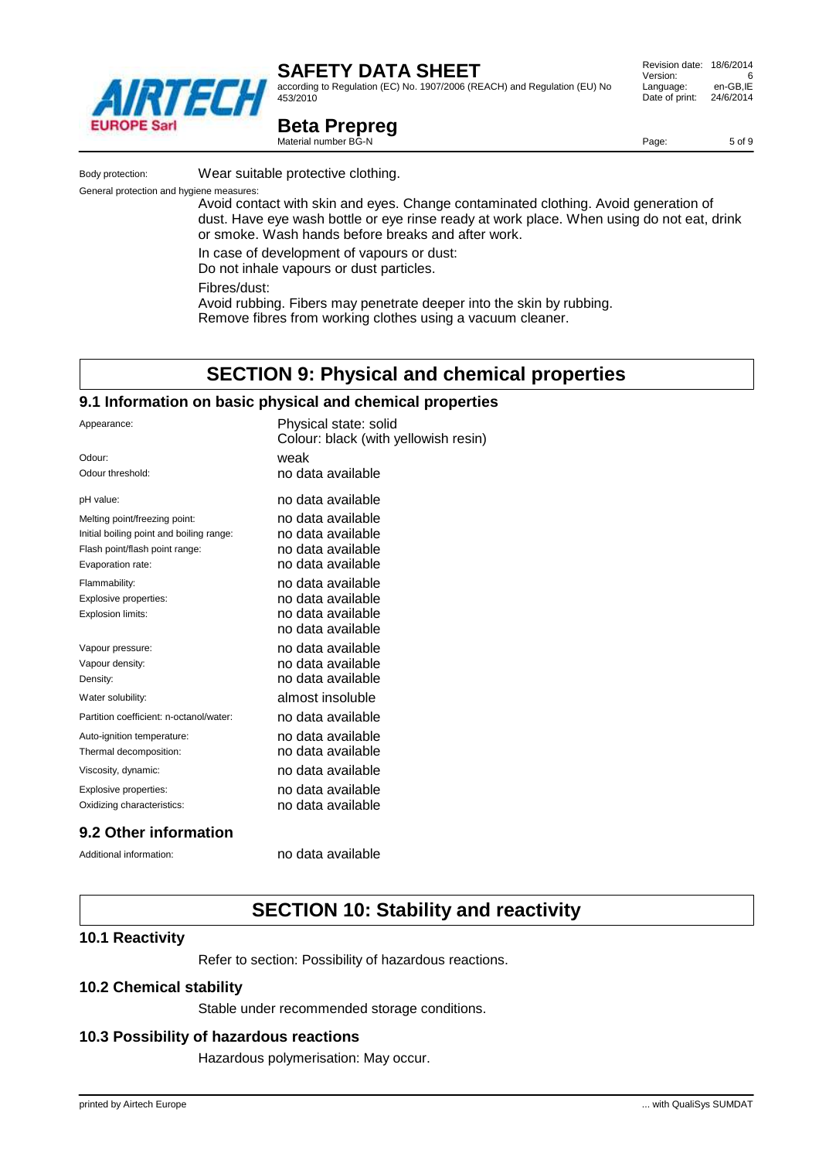

according to Regulation (EC) No. 1907/2006 (REACH) and Regulation (EU) No 453/2010

#### Revision date: 18/6/2014 Version: 6<br>Language: en-GB.IE Language: Date of print: 24/6/2014

Page: 5 of 9

# **Beta Prepreg**

Material number BG-N

Body protection: Wear suitable protective clothing.

General protection and hygiene measures:

Avoid contact with skin and eyes. Change contaminated clothing. Avoid generation of dust. Have eye wash bottle or eye rinse ready at work place. When using do not eat, drink or smoke. Wash hands before breaks and after work.

resin)

In case of development of vapours or dust:

Do not inhale vapours or dust particles.

Fibres/dust:

Avoid rubbing. Fibers may penetrate deeper into the skin by rubbing. Remove fibres from working clothes using a vacuum cleaner.

# **SECTION 9: Physical and chemical properties**

#### **9.1 Information on basic physical and chemical properties**

| Appearance:                              | Physical state: solid<br>Colour: black (with yellowish |
|------------------------------------------|--------------------------------------------------------|
| Odour:                                   | weak                                                   |
| Odour threshold:                         | no data available                                      |
| pH value:                                | no data available                                      |
| Melting point/freezing point:            | no data available                                      |
| Initial boiling point and boiling range: | no data available                                      |
| Flash point/flash point range:           | no data available                                      |
| Evaporation rate:                        | no data available                                      |
| Flammability:                            | no data available                                      |
| Explosive properties:                    | no data available                                      |
| Explosion limits:                        | no data available                                      |
|                                          | no data available                                      |
| Vapour pressure:                         | no data available                                      |
| Vapour density:                          | no data available                                      |
| Density:                                 | no data available                                      |
| Water solubility:                        | almost insoluble                                       |
| Partition coefficient: n-octanol/water:  | no data available                                      |
| Auto-ignition temperature:               | no data available                                      |
| Thermal decomposition:                   | no data available                                      |
| Viscosity, dynamic:                      | no data available                                      |
| Explosive properties:                    | no data available                                      |
| Oxidizing characteristics:               | no data available                                      |
|                                          |                                                        |

## **9.2 Other information**

Additional information: no data available

# **SECTION 10: Stability and reactivity**

### **10.1 Reactivity**

Refer to section: Possibility of hazardous reactions.

### **10.2 Chemical stability**

Stable under recommended storage conditions.

### **10.3 Possibility of hazardous reactions**

Hazardous polymerisation: May occur.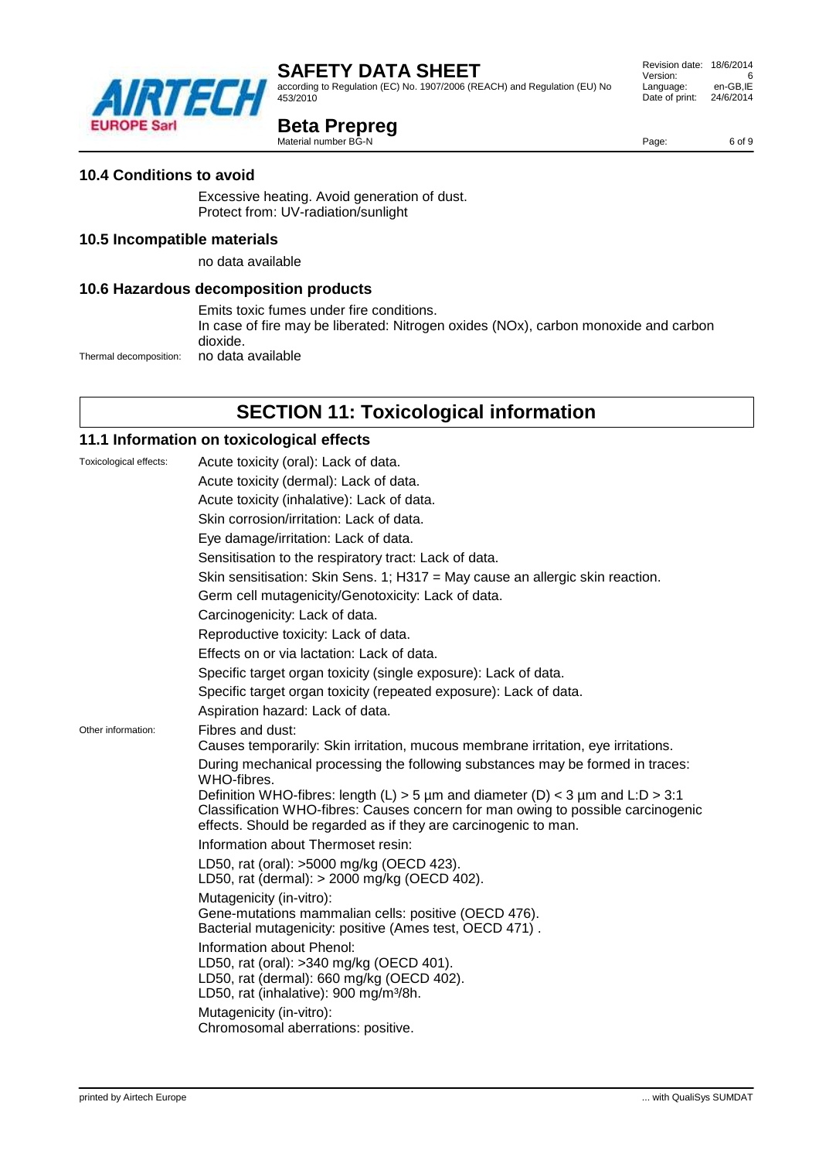according to Regulation (EC) No. 1907/2006 (REACH) and Regulation (EU) No 453/2010

# **Beta Prepreg**

Material number BG-N

## **10.4 Conditions to avoid**

Excessive heating. Avoid generation of dust. Protect from: UV-radiation/sunlight

### **10.5 Incompatible materials**

no data available

#### **10.6 Hazardous decomposition products**

Emits toxic fumes under fire conditions.

In case of fire may be liberated: Nitrogen oxides (NOx), carbon monoxide and carbon dioxide.

Thermal decomposition: no data available

# **SECTION 11: Toxicological information**

## **11.1 Information on toxicological effects**

| Toxicological effects: | Acute toxicity (oral): Lack of data.                                                                                                                                                                                                  |
|------------------------|---------------------------------------------------------------------------------------------------------------------------------------------------------------------------------------------------------------------------------------|
|                        | Acute toxicity (dermal): Lack of data.                                                                                                                                                                                                |
|                        | Acute toxicity (inhalative): Lack of data.                                                                                                                                                                                            |
|                        | Skin corrosion/irritation: Lack of data.                                                                                                                                                                                              |
|                        | Eye damage/irritation: Lack of data.                                                                                                                                                                                                  |
|                        | Sensitisation to the respiratory tract: Lack of data.                                                                                                                                                                                 |
|                        | Skin sensitisation: Skin Sens. 1; H317 = May cause an allergic skin reaction.                                                                                                                                                         |
|                        | Germ cell mutagenicity/Genotoxicity: Lack of data.                                                                                                                                                                                    |
|                        | Carcinogenicity: Lack of data.                                                                                                                                                                                                        |
|                        | Reproductive toxicity: Lack of data.                                                                                                                                                                                                  |
|                        | Effects on or via lactation: Lack of data.                                                                                                                                                                                            |
|                        | Specific target organ toxicity (single exposure): Lack of data.                                                                                                                                                                       |
|                        | Specific target organ toxicity (repeated exposure): Lack of data.                                                                                                                                                                     |
|                        | Aspiration hazard: Lack of data.                                                                                                                                                                                                      |
| Other information:     | Fibres and dust:                                                                                                                                                                                                                      |
|                        | Causes temporarily: Skin irritation, mucous membrane irritation, eye irritations.                                                                                                                                                     |
|                        | During mechanical processing the following substances may be formed in traces:<br>WHO-fibres.                                                                                                                                         |
|                        | Definition WHO-fibres: length (L) > 5 µm and diameter (D) < 3 µm and L:D > 3:1<br>Classification WHO-fibres: Causes concern for man owing to possible carcinogenic<br>effects. Should be regarded as if they are carcinogenic to man. |
|                        | Information about Thermoset resin:                                                                                                                                                                                                    |
|                        | LD50, rat (oral): >5000 mg/kg (OECD 423).<br>LD50, rat (dermal): > 2000 mg/kg (OECD 402).                                                                                                                                             |
|                        | Mutagenicity (in-vitro):                                                                                                                                                                                                              |
|                        | Gene-mutations mammalian cells: positive (OECD 476).<br>Bacterial mutagenicity: positive (Ames test, OECD 471).                                                                                                                       |
|                        | Information about Phenol:<br>LD50, rat (oral): >340 mg/kg (OECD 401).<br>LD50, rat (dermal): 660 mg/kg (OECD 402).<br>LD50, rat (inhalative): 900 mg/m <sup>3</sup> /8h.                                                              |
|                        | Mutagenicity (in-vitro):<br>Chromosomal aberrations: positive.                                                                                                                                                                        |



 Revision date: 18/6/2014 Version: 6<br>Language: en-GB.IE Language: Date of print: 24/6/2014

Page: 6 of 9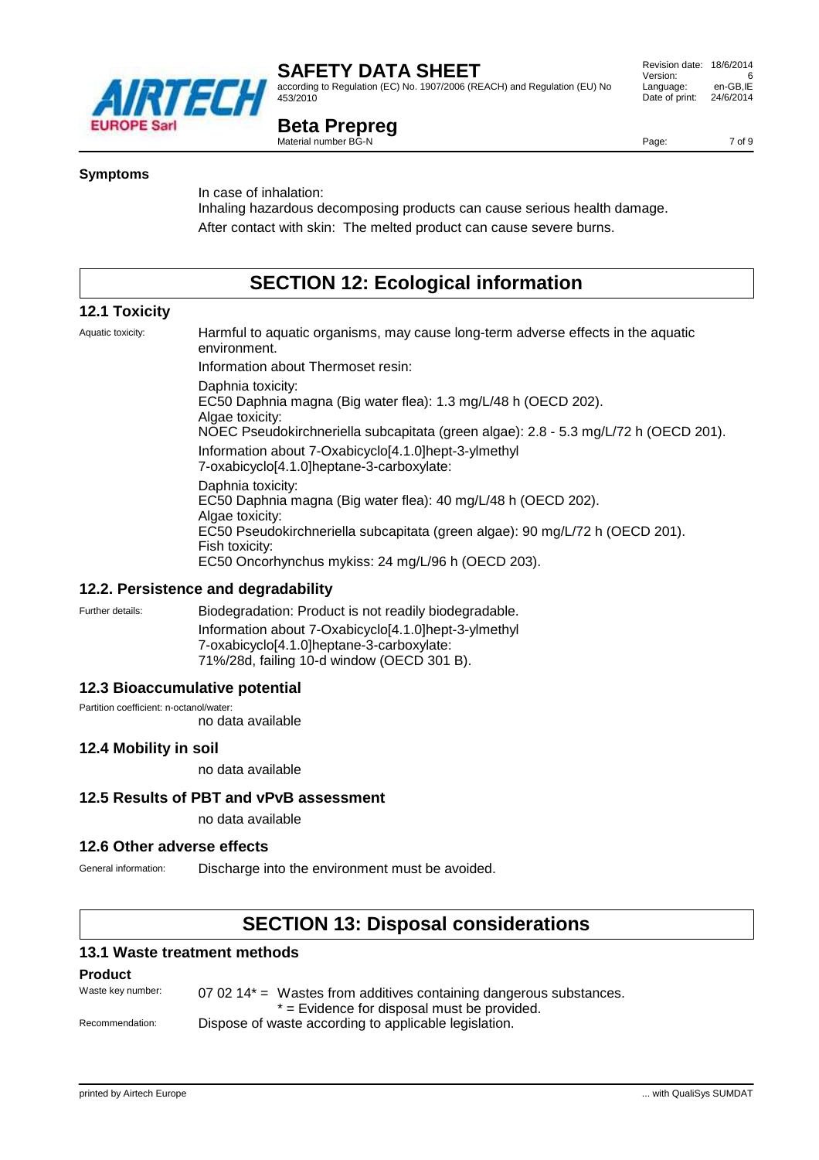

according to Regulation (EC) No. 1907/2006 (REACH) and Regulation (EU) No 453/2010

#### Revision date: 18/6/2014 Version: 6<br>Language: en-GB.IE Language: Date of print: 24/6/2014

## **Beta Prepreg**

Material number BG-N

Page: 7 of 9

#### **Symptoms**

In case of inhalation:

Inhaling hazardous decomposing products can cause serious health damage. After contact with skin: The melted product can cause severe burns.

# **SECTION 12: Ecological information**

### **12.1 Toxicity**

Aquatic toxicity: Harmful to aquatic organisms, may cause long-term adverse effects in the aquatic environment. Information about Thermoset resin: Daphnia toxicity: EC50 Daphnia magna (Big water flea): 1.3 mg/L/48 h (OECD 202). Algae toxicity: NOEC Pseudokirchneriella subcapitata (green algae): 2.8 - 5.3 mg/L/72 h (OECD 201). Information about 7-Oxabicyclo[4.1.0]hept-3-ylmethyl 7-oxabicyclo[4.1.0]heptane-3-carboxylate: Daphnia toxicity: EC50 Daphnia magna (Big water flea): 40 mg/L/48 h (OECD 202). Algae toxicity: EC50 Pseudokirchneriella subcapitata (green algae): 90 mg/L/72 h (OECD 201). Fish toxicity: EC50 Oncorhynchus mykiss: 24 mg/L/96 h (OECD 203).

#### **12.2. Persistence and degradability**

Further details: **Biodegradation: Product is not readily biodegradable.** 

Information about 7-Oxabicyclo[4.1.0]hept-3-ylmethyl 7-oxabicyclo[4.1.0]heptane-3-carboxylate: 71%/28d, failing 10-d window (OECD 301 B).

#### **12.3 Bioaccumulative potential**

Partition coefficient: n-octanol/water:

no data available

### **12.4 Mobility in soil**

no data available

#### **12.5 Results of PBT and vPvB assessment**

no data available

#### **12.6 Other adverse effects**

General information: Discharge into the environment must be avoided.

# **SECTION 13: Disposal considerations**

#### **13.1 Waste treatment methods**

#### **Product**

Waste key number:  $070214*$  = Wastes from additives containing dangerous substances. \* = Evidence for disposal must be provided. Recommendation: Dispose of waste according to applicable legislation.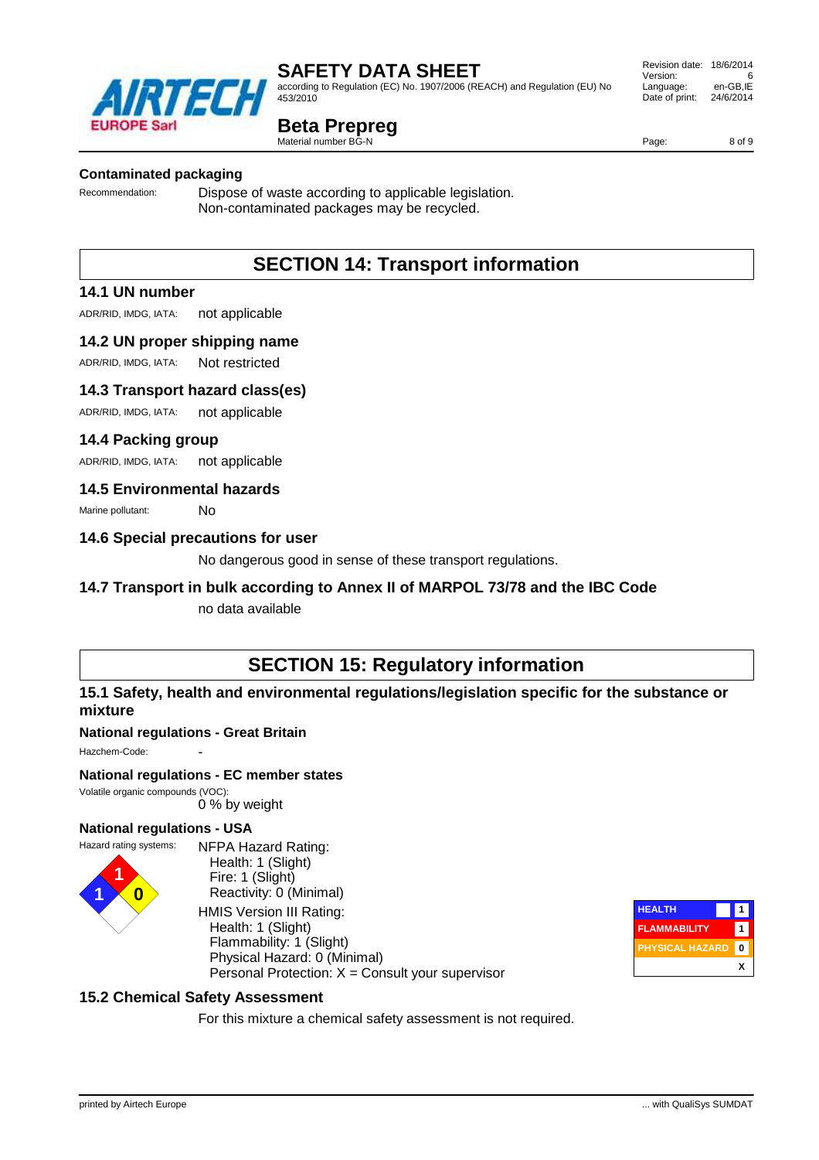according to Regulation (EC) No. 1907/2006 (REACH) and Regulation (EU) No 453/2010

## **Beta Prepreg**

Material number BG-N

#### **Contaminated packaging**

Recommendation: Dispose of waste according to applicable legislation. Non-contaminated packages may be recycled.

# **SECTION 14: Transport information**

#### **14.1 UN number**

ADR/RID, IMDG, IATA: not applicable

#### **14.2 UN proper shipping name**

ADR/RID, IMDG, IATA: Not restricted

#### **14.3 Transport hazard class(es)**

ADR/RID, IMDG, IATA: not applicable

#### **14.4 Packing group**

ADR/RID, IMDG, IATA: not applicable

#### **14.5 Environmental hazards**

Marine pollutant: No

#### **14.6 Special precautions for user**

No dangerous good in sense of these transport regulations.

#### **14.7 Transport in bulk according to Annex II of MARPOL 73/78 and the IBC Code**

no data available

# **SECTION 15: Regulatory information**

#### **15.1 Safety, health and environmental regulations/legislation specific for the substance or mixture**

#### **National regulations - Great Britain**

Hazchem-Code:

#### **National regulations - EC member states**

Volatile organic compounds (VOC): 0 % by weight

#### **National regulations - USA**





NFPA Hazard Rating: Health: 1 (Slight) Fire: 1 (Slight) Reactivity: 0 (Minimal) HMIS Version III Rating: Health: 1 (Slight) Flammability: 1 (Slight) Physical Hazard: 0 (Minimal) Personal Protection:  $X =$  Consult your supervisor



### **15.2 Chemical Safety Assessment**

For this mixture a chemical safety assessment is not required.



Page: 8 of 9

756 **FUROPE Sarl**